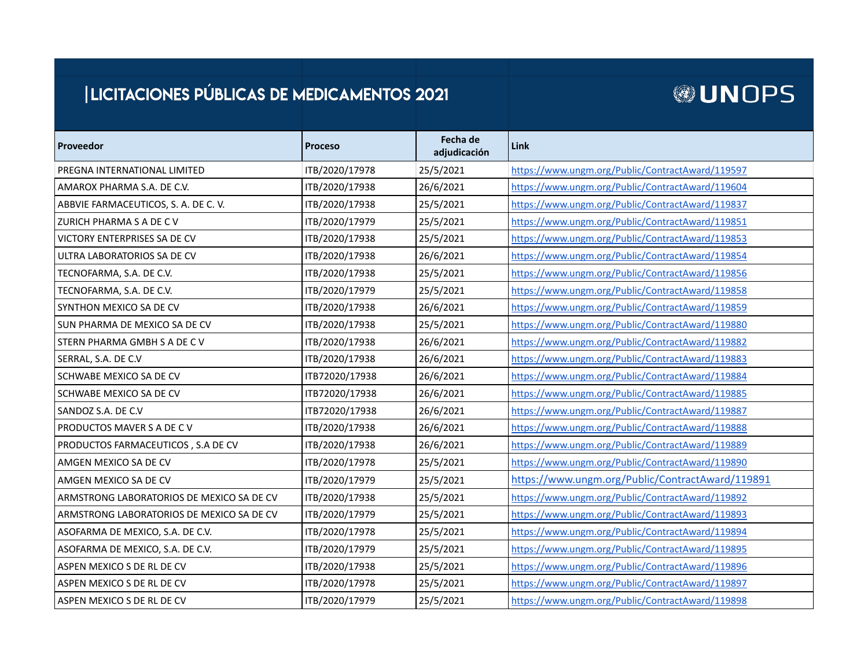## | LICITACIONES PÚBLICAS DE MEDICAMENTOS 2021

## **@UNOPS**

| Proveedor                                 | <b>Proceso</b> | Fecha de<br>adjudicación | Link                                             |
|-------------------------------------------|----------------|--------------------------|--------------------------------------------------|
| PREGNA INTERNATIONAL LIMITED              | ITB/2020/17978 | 25/5/2021                | https://www.ungm.org/Public/ContractAward/119597 |
| AMAROX PHARMA S.A. DE C.V.                | ITB/2020/17938 | 26/6/2021                | https://www.ungm.org/Public/ContractAward/119604 |
| ABBVIE FARMACEUTICOS, S. A. DE C. V.      | ITB/2020/17938 | 25/5/2021                | https://www.ungm.org/Public/ContractAward/119837 |
| ZURICH PHARMA S A DE C V                  | ITB/2020/17979 | 25/5/2021                | https://www.ungm.org/Public/ContractAward/119851 |
| VICTORY ENTERPRISES SA DE CV              | ITB/2020/17938 | 25/5/2021                | https://www.ungm.org/Public/ContractAward/119853 |
| ULTRA LABORATORIOS SA DE CV               | ITB/2020/17938 | 26/6/2021                | https://www.ungm.org/Public/ContractAward/119854 |
| TECNOFARMA, S.A. DE C.V.                  | ITB/2020/17938 | 25/5/2021                | https://www.ungm.org/Public/ContractAward/119856 |
| TECNOFARMA, S.A. DE C.V.                  | ITB/2020/17979 | 25/5/2021                | https://www.ungm.org/Public/ContractAward/119858 |
| SYNTHON MEXICO SA DE CV                   | ITB/2020/17938 | 26/6/2021                | https://www.ungm.org/Public/ContractAward/119859 |
| SUN PHARMA DE MEXICO SA DE CV             | ITB/2020/17938 | 25/5/2021                | https://www.ungm.org/Public/ContractAward/119880 |
| STERN PHARMA GMBH S A DE C V              | ITB/2020/17938 | 26/6/2021                | https://www.ungm.org/Public/ContractAward/119882 |
| SERRAL, S.A. DE C.V                       | ITB/2020/17938 | 26/6/2021                | https://www.ungm.org/Public/ContractAward/119883 |
| <b>SCHWABE MEXICO SA DE CV</b>            | ITB72020/17938 | 26/6/2021                | https://www.ungm.org/Public/ContractAward/119884 |
| SCHWABE MEXICO SA DE CV                   | ITB72020/17938 | 26/6/2021                | https://www.ungm.org/Public/ContractAward/119885 |
| SANDOZ S.A. DE C.V                        | ITB72020/17938 | 26/6/2021                | https://www.ungm.org/Public/ContractAward/119887 |
| PRODUCTOS MAVER S A DE C V                | ITB/2020/17938 | 26/6/2021                | https://www.ungm.org/Public/ContractAward/119888 |
| PRODUCTOS FARMACEUTICOS, S.A DE CV        | ITB/2020/17938 | 26/6/2021                | https://www.ungm.org/Public/ContractAward/119889 |
| AMGEN MEXICO SA DE CV                     | ITB/2020/17978 | 25/5/2021                | https://www.ungm.org/Public/ContractAward/119890 |
| AMGEN MEXICO SA DE CV                     | ITB/2020/17979 | 25/5/2021                | https://www.ungm.org/Public/ContractAward/119891 |
| ARMSTRONG LABORATORIOS DE MEXICO SA DE CV | ITB/2020/17938 | 25/5/2021                | https://www.ungm.org/Public/ContractAward/119892 |
| ARMSTRONG LABORATORIOS DE MEXICO SA DE CV | ITB/2020/17979 | 25/5/2021                | https://www.ungm.org/Public/ContractAward/119893 |
| ASOFARMA DE MEXICO, S.A. DE C.V.          | ITB/2020/17978 | 25/5/2021                | https://www.ungm.org/Public/ContractAward/119894 |
| ASOFARMA DE MEXICO, S.A. DE C.V.          | ITB/2020/17979 | 25/5/2021                | https://www.ungm.org/Public/ContractAward/119895 |
| ASPEN MEXICO S DE RL DE CV                | ITB/2020/17938 | 25/5/2021                | https://www.ungm.org/Public/ContractAward/119896 |
| ASPEN MEXICO S DE RL DE CV                | ITB/2020/17978 | 25/5/2021                | https://www.ungm.org/Public/ContractAward/119897 |
| ASPEN MEXICO S DE RL DE CV                | ITB/2020/17979 | 25/5/2021                | https://www.ungm.org/Public/ContractAward/119898 |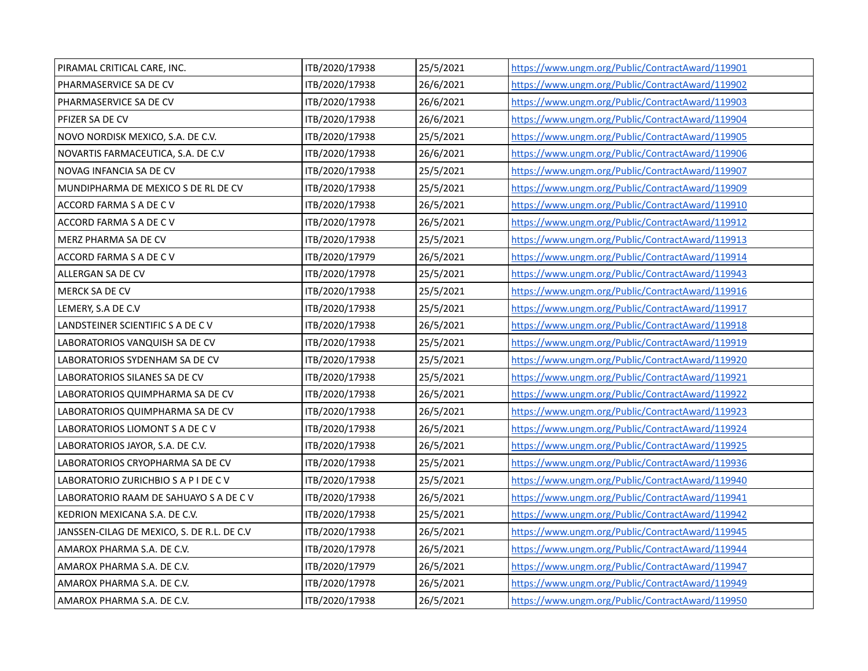| PIRAMAL CRITICAL CARE, INC.                | ITB/2020/17938 | 25/5/2021 | https://www.ungm.org/Public/ContractAward/119901 |
|--------------------------------------------|----------------|-----------|--------------------------------------------------|
| PHARMASERVICE SA DE CV                     | ITB/2020/17938 | 26/6/2021 | https://www.ungm.org/Public/ContractAward/119902 |
| PHARMASERVICE SA DE CV                     | ITB/2020/17938 | 26/6/2021 | https://www.ungm.org/Public/ContractAward/119903 |
| PFIZER SA DE CV                            | ITB/2020/17938 | 26/6/2021 | https://www.ungm.org/Public/ContractAward/119904 |
| NOVO NORDISK MEXICO, S.A. DE C.V.          | ITB/2020/17938 | 25/5/2021 | https://www.ungm.org/Public/ContractAward/119905 |
| NOVARTIS FARMACEUTICA, S.A. DE C.V         | ITB/2020/17938 | 26/6/2021 | https://www.ungm.org/Public/ContractAward/119906 |
| NOVAG INFANCIA SA DE CV                    | ITB/2020/17938 | 25/5/2021 | https://www.ungm.org/Public/ContractAward/119907 |
| MUNDIPHARMA DE MEXICO S DE RL DE CV        | ITB/2020/17938 | 25/5/2021 | https://www.ungm.org/Public/ContractAward/119909 |
| ACCORD FARMA S A DE C V                    | ITB/2020/17938 | 26/5/2021 | https://www.ungm.org/Public/ContractAward/119910 |
| ACCORD FARMA S A DE C V                    | ITB/2020/17978 | 26/5/2021 | https://www.ungm.org/Public/ContractAward/119912 |
| MERZ PHARMA SA DE CV                       | ITB/2020/17938 | 25/5/2021 | https://www.ungm.org/Public/ContractAward/119913 |
| ACCORD FARMA S A DE C V                    | ITB/2020/17979 | 26/5/2021 | https://www.ungm.org/Public/ContractAward/119914 |
| ALLERGAN SA DE CV                          | ITB/2020/17978 | 25/5/2021 | https://www.ungm.org/Public/ContractAward/119943 |
| MERCK SA DE CV                             | ITB/2020/17938 | 25/5/2021 | https://www.ungm.org/Public/ContractAward/119916 |
| LEMERY, S.A DE C.V                         | ITB/2020/17938 | 25/5/2021 | https://www.ungm.org/Public/ContractAward/119917 |
| LANDSTEINER SCIENTIFIC S A DE C V          | ITB/2020/17938 | 26/5/2021 | https://www.ungm.org/Public/ContractAward/119918 |
| LABORATORIOS VANQUISH SA DE CV             | ITB/2020/17938 | 25/5/2021 | https://www.ungm.org/Public/ContractAward/119919 |
| LABORATORIOS SYDENHAM SA DE CV             | ITB/2020/17938 | 25/5/2021 | https://www.ungm.org/Public/ContractAward/119920 |
| LABORATORIOS SILANES SA DE CV              | ITB/2020/17938 | 25/5/2021 | https://www.ungm.org/Public/ContractAward/119921 |
| LABORATORIOS QUIMPHARMA SA DE CV           | ITB/2020/17938 | 26/5/2021 | https://www.ungm.org/Public/ContractAward/119922 |
| LABORATORIOS QUIMPHARMA SA DE CV           | ITB/2020/17938 | 26/5/2021 | https://www.ungm.org/Public/ContractAward/119923 |
| LABORATORIOS LIOMONT S A DE C V            | ITB/2020/17938 | 26/5/2021 | https://www.ungm.org/Public/ContractAward/119924 |
| LABORATORIOS JAYOR, S.A. DE C.V.           | ITB/2020/17938 | 26/5/2021 | https://www.ungm.org/Public/ContractAward/119925 |
| LABORATORIOS CRYOPHARMA SA DE CV           | ITB/2020/17938 | 25/5/2021 | https://www.ungm.org/Public/ContractAward/119936 |
| LABORATORIO ZURICHBIO S A P I DE C V       | ITB/2020/17938 | 25/5/2021 | https://www.ungm.org/Public/ContractAward/119940 |
| LABORATORIO RAAM DE SAHUAYO S A DE C V     | ITB/2020/17938 | 26/5/2021 | https://www.ungm.org/Public/ContractAward/119941 |
| KEDRION MEXICANA S.A. DE C.V.              | ITB/2020/17938 | 25/5/2021 | https://www.ungm.org/Public/ContractAward/119942 |
| JANSSEN-CILAG DE MEXICO, S. DE R.L. DE C.V | ITB/2020/17938 | 26/5/2021 | https://www.ungm.org/Public/ContractAward/119945 |
| AMAROX PHARMA S.A. DE C.V.                 | ITB/2020/17978 | 26/5/2021 | https://www.ungm.org/Public/ContractAward/119944 |
| AMAROX PHARMA S.A. DE C.V.                 | ITB/2020/17979 | 26/5/2021 | https://www.ungm.org/Public/ContractAward/119947 |
| AMAROX PHARMA S.A. DE C.V.                 | ITB/2020/17978 | 26/5/2021 | https://www.ungm.org/Public/ContractAward/119949 |
| AMAROX PHARMA S.A. DE C.V.                 | ITB/2020/17938 | 26/5/2021 | https://www.ungm.org/Public/ContractAward/119950 |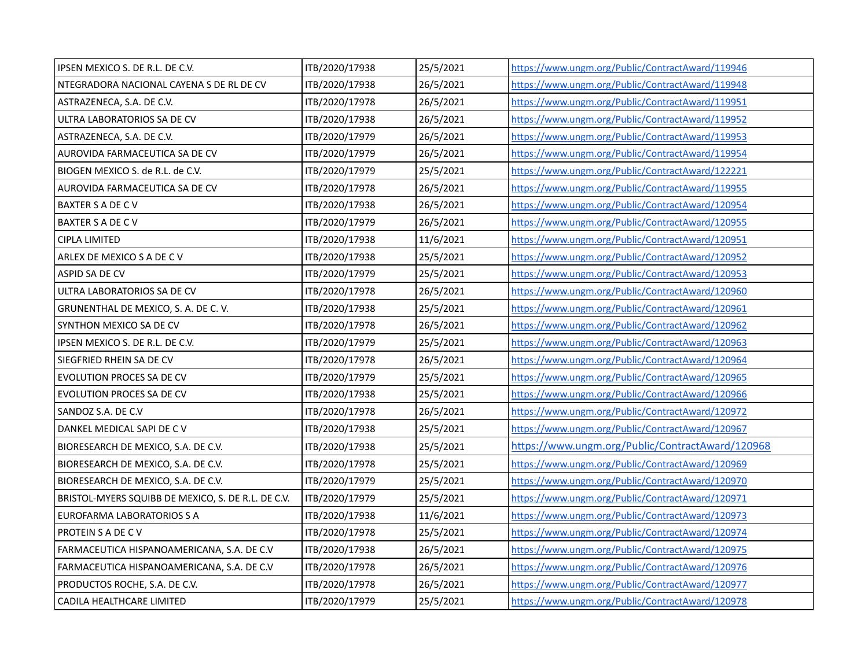| IPSEN MEXICO S. DE R.L. DE C.V.                    | ITB/2020/17938 | 25/5/2021 | https://www.ungm.org/Public/ContractAward/119946 |
|----------------------------------------------------|----------------|-----------|--------------------------------------------------|
| NTEGRADORA NACIONAL CAYENA S DE RL DE CV           | ITB/2020/17938 | 26/5/2021 | https://www.ungm.org/Public/ContractAward/119948 |
| ASTRAZENECA, S.A. DE C.V.                          | ITB/2020/17978 | 26/5/2021 | https://www.ungm.org/Public/ContractAward/119951 |
| ULTRA LABORATORIOS SA DE CV                        | ITB/2020/17938 | 26/5/2021 | https://www.ungm.org/Public/ContractAward/119952 |
| ASTRAZENECA, S.A. DE C.V.                          | ITB/2020/17979 | 26/5/2021 | https://www.ungm.org/Public/ContractAward/119953 |
| AUROVIDA FARMACEUTICA SA DE CV                     | ITB/2020/17979 | 26/5/2021 | https://www.ungm.org/Public/ContractAward/119954 |
| BIOGEN MEXICO S. de R.L. de C.V.                   | ITB/2020/17979 | 25/5/2021 | https://www.ungm.org/Public/ContractAward/122221 |
| AUROVIDA FARMACEUTICA SA DE CV                     | ITB/2020/17978 | 26/5/2021 | https://www.ungm.org/Public/ContractAward/119955 |
| <b>BAXTER S A DE C V</b>                           | ITB/2020/17938 | 26/5/2021 | https://www.ungm.org/Public/ContractAward/120954 |
| BAXTER S A DE C V                                  | ITB/2020/17979 | 26/5/2021 | https://www.ungm.org/Public/ContractAward/120955 |
| <b>CIPLA LIMITED</b>                               | ITB/2020/17938 | 11/6/2021 | https://www.ungm.org/Public/ContractAward/120951 |
| ARLEX DE MEXICO S A DE C V                         | ITB/2020/17938 | 25/5/2021 | https://www.ungm.org/Public/ContractAward/120952 |
| ASPID SA DE CV                                     | ITB/2020/17979 | 25/5/2021 | https://www.ungm.org/Public/ContractAward/120953 |
| ULTRA LABORATORIOS SA DE CV                        | ITB/2020/17978 | 26/5/2021 | https://www.ungm.org/Public/ContractAward/120960 |
| GRUNENTHAL DE MEXICO, S. A. DE C. V.               | ITB/2020/17938 | 25/5/2021 | https://www.ungm.org/Public/ContractAward/120961 |
| SYNTHON MEXICO SA DE CV                            | ITB/2020/17978 | 26/5/2021 | https://www.ungm.org/Public/ContractAward/120962 |
| IPSEN MEXICO S. DE R.L. DE C.V.                    | ITB/2020/17979 | 25/5/2021 | https://www.ungm.org/Public/ContractAward/120963 |
| SIEGFRIED RHEIN SA DE CV                           | ITB/2020/17978 | 26/5/2021 | https://www.ungm.org/Public/ContractAward/120964 |
| <b>EVOLUTION PROCES SA DE CV</b>                   | ITB/2020/17979 | 25/5/2021 | https://www.ungm.org/Public/ContractAward/120965 |
| <b>EVOLUTION PROCES SA DE CV</b>                   | ITB/2020/17938 | 25/5/2021 | https://www.ungm.org/Public/ContractAward/120966 |
| SANDOZ S.A. DE C.V                                 | ITB/2020/17978 | 26/5/2021 | https://www.ungm.org/Public/ContractAward/120972 |
| DANKEL MEDICAL SAPI DE C V                         | ITB/2020/17938 | 25/5/2021 | https://www.ungm.org/Public/ContractAward/120967 |
| BIORESEARCH DE MEXICO, S.A. DE C.V.                | ITB/2020/17938 | 25/5/2021 | https://www.ungm.org/Public/ContractAward/120968 |
| BIORESEARCH DE MEXICO, S.A. DE C.V.                | ITB/2020/17978 | 25/5/2021 | https://www.ungm.org/Public/ContractAward/120969 |
| BIORESEARCH DE MEXICO, S.A. DE C.V.                | ITB/2020/17979 | 25/5/2021 | https://www.ungm.org/Public/ContractAward/120970 |
| BRISTOL-MYERS SQUIBB DE MEXICO, S. DE R.L. DE C.V. | ITB/2020/17979 | 25/5/2021 | https://www.ungm.org/Public/ContractAward/120971 |
| EUROFARMA LABORATORIOS S A                         | ITB/2020/17938 | 11/6/2021 | https://www.ungm.org/Public/ContractAward/120973 |
| <b>PROTEIN S A DE C V</b>                          | ITB/2020/17978 | 25/5/2021 | https://www.ungm.org/Public/ContractAward/120974 |
| FARMACEUTICA HISPANOAMERICANA, S.A. DE C.V         | ITB/2020/17938 | 26/5/2021 | https://www.ungm.org/Public/ContractAward/120975 |
| FARMACEUTICA HISPANOAMERICANA, S.A. DE C.V         | ITB/2020/17978 | 26/5/2021 | https://www.ungm.org/Public/ContractAward/120976 |
| PRODUCTOS ROCHE, S.A. DE C.V.                      | ITB/2020/17978 | 26/5/2021 | https://www.ungm.org/Public/ContractAward/120977 |
| CADILA HEALTHCARE LIMITED                          | ITB/2020/17979 | 25/5/2021 | https://www.ungm.org/Public/ContractAward/120978 |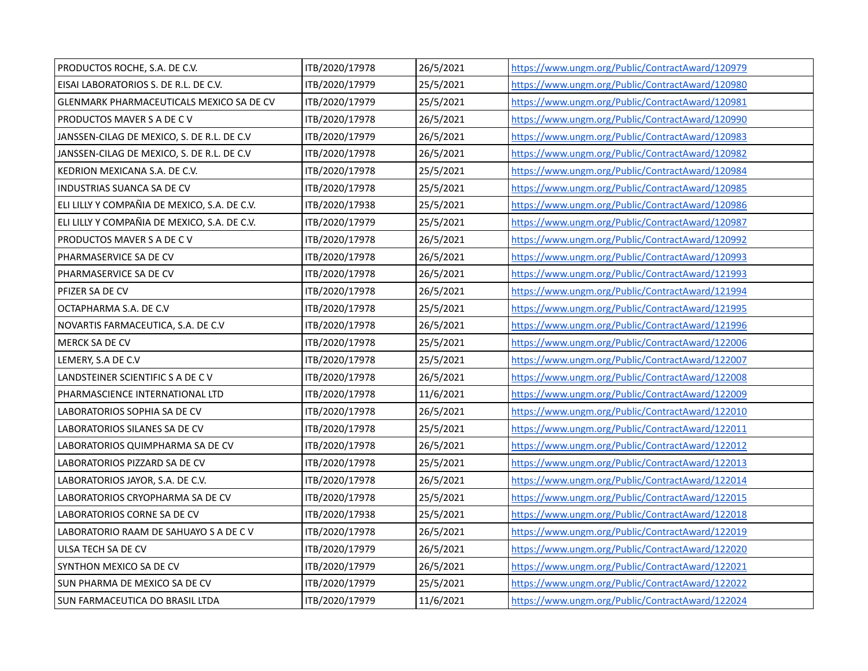| PRODUCTOS ROCHE, S.A. DE C.V.                | ITB/2020/17978 | 26/5/2021 | https://www.ungm.org/Public/ContractAward/120979 |
|----------------------------------------------|----------------|-----------|--------------------------------------------------|
| EISAI LABORATORIOS S. DE R.L. DE C.V.        | ITB/2020/17979 | 25/5/2021 | https://www.ungm.org/Public/ContractAward/120980 |
| GLENMARK PHARMACEUTICALS MEXICO SA DE CV     | ITB/2020/17979 | 25/5/2021 | https://www.ungm.org/Public/ContractAward/120981 |
| PRODUCTOS MAVER S A DE C V                   | ITB/2020/17978 | 26/5/2021 | https://www.ungm.org/Public/ContractAward/120990 |
| JANSSEN-CILAG DE MEXICO, S. DE R.L. DE C.V   | ITB/2020/17979 | 26/5/2021 | https://www.ungm.org/Public/ContractAward/120983 |
| JANSSEN-CILAG DE MEXICO, S. DE R.L. DE C.V   | ITB/2020/17978 | 26/5/2021 | https://www.ungm.org/Public/ContractAward/120982 |
| KEDRION MEXICANA S.A. DE C.V.                | ITB/2020/17978 | 25/5/2021 | https://www.ungm.org/Public/ContractAward/120984 |
| <b>INDUSTRIAS SUANCA SA DE CV</b>            | ITB/2020/17978 | 25/5/2021 | https://www.ungm.org/Public/ContractAward/120985 |
| ELI LILLY Y COMPAÑIA DE MEXICO, S.A. DE C.V. | ITB/2020/17938 | 25/5/2021 | https://www.ungm.org/Public/ContractAward/120986 |
| ELI LILLY Y COMPAÑIA DE MEXICO, S.A. DE C.V. | ITB/2020/17979 | 25/5/2021 | https://www.ungm.org/Public/ContractAward/120987 |
| PRODUCTOS MAVER S A DE C V                   | ITB/2020/17978 | 26/5/2021 | https://www.ungm.org/Public/ContractAward/120992 |
| PHARMASERVICE SA DE CV                       | ITB/2020/17978 | 26/5/2021 | https://www.ungm.org/Public/ContractAward/120993 |
| PHARMASERVICE SA DE CV                       | ITB/2020/17978 | 26/5/2021 | https://www.ungm.org/Public/ContractAward/121993 |
| PFIZER SA DE CV                              | ITB/2020/17978 | 26/5/2021 | https://www.ungm.org/Public/ContractAward/121994 |
| OCTAPHARMA S.A. DE C.V                       | ITB/2020/17978 | 25/5/2021 | https://www.ungm.org/Public/ContractAward/121995 |
| NOVARTIS FARMACEUTICA, S.A. DE C.V           | ITB/2020/17978 | 26/5/2021 | https://www.ungm.org/Public/ContractAward/121996 |
| MERCK SA DE CV                               | ITB/2020/17978 | 25/5/2021 | https://www.ungm.org/Public/ContractAward/122006 |
| LEMERY, S.A DE C.V                           | ITB/2020/17978 | 25/5/2021 | https://www.ungm.org/Public/ContractAward/122007 |
| LANDSTEINER SCIENTIFIC S A DE C V            | ITB/2020/17978 | 26/5/2021 | https://www.ungm.org/Public/ContractAward/122008 |
| PHARMASCIENCE INTERNATIONAL LTD              | ITB/2020/17978 | 11/6/2021 | https://www.ungm.org/Public/ContractAward/122009 |
| LABORATORIOS SOPHIA SA DE CV                 | ITB/2020/17978 | 26/5/2021 | https://www.ungm.org/Public/ContractAward/122010 |
| LABORATORIOS SILANES SA DE CV                | ITB/2020/17978 | 25/5/2021 | https://www.ungm.org/Public/ContractAward/122011 |
| LABORATORIOS QUIMPHARMA SA DE CV             | ITB/2020/17978 | 26/5/2021 | https://www.ungm.org/Public/ContractAward/122012 |
| LABORATORIOS PIZZARD SA DE CV                | ITB/2020/17978 | 25/5/2021 | https://www.ungm.org/Public/ContractAward/122013 |
| LABORATORIOS JAYOR, S.A. DE C.V.             | ITB/2020/17978 | 26/5/2021 | https://www.ungm.org/Public/ContractAward/122014 |
| LABORATORIOS CRYOPHARMA SA DE CV             | ITB/2020/17978 | 25/5/2021 | https://www.ungm.org/Public/ContractAward/122015 |
| LABORATORIOS CORNE SA DE CV                  | ITB/2020/17938 | 25/5/2021 | https://www.ungm.org/Public/ContractAward/122018 |
| LABORATORIO RAAM DE SAHUAYO S A DE C V       | ITB/2020/17978 | 26/5/2021 | https://www.ungm.org/Public/ContractAward/122019 |
| ULSA TECH SA DE CV                           | ITB/2020/17979 | 26/5/2021 | https://www.ungm.org/Public/ContractAward/122020 |
| SYNTHON MEXICO SA DE CV                      | ITB/2020/17979 | 26/5/2021 | https://www.ungm.org/Public/ContractAward/122021 |
| SUN PHARMA DE MEXICO SA DE CV                | ITB/2020/17979 | 25/5/2021 | https://www.ungm.org/Public/ContractAward/122022 |
| SUN FARMACEUTICA DO BRASIL LTDA              | ITB/2020/17979 | 11/6/2021 | https://www.ungm.org/Public/ContractAward/122024 |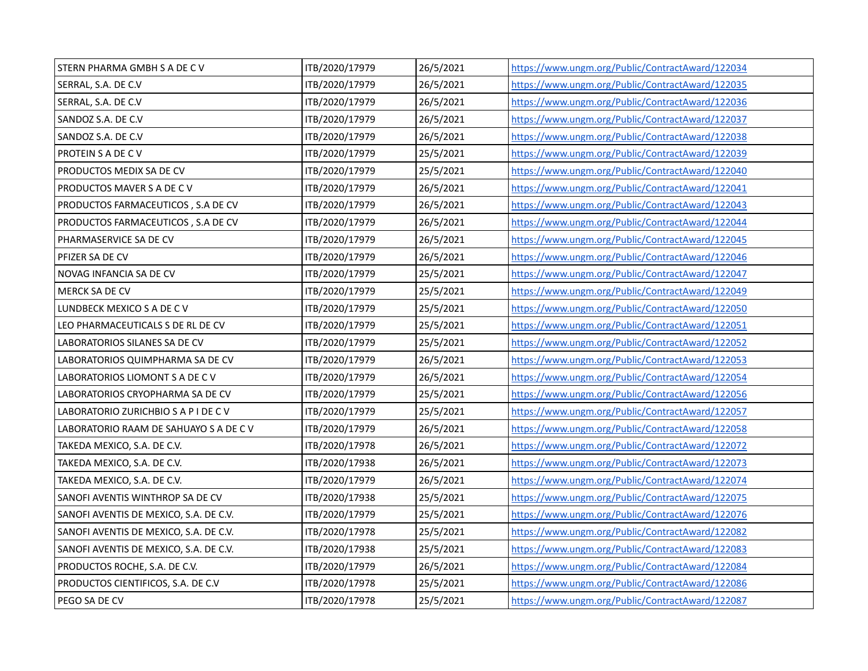| STERN PHARMA GMBH S A DE C V           | ITB/2020/17979 | 26/5/2021 | https://www.ungm.org/Public/ContractAward/122034 |
|----------------------------------------|----------------|-----------|--------------------------------------------------|
| SERRAL, S.A. DE C.V                    | ITB/2020/17979 | 26/5/2021 | https://www.ungm.org/Public/ContractAward/122035 |
| SERRAL, S.A. DE C.V                    | ITB/2020/17979 | 26/5/2021 | https://www.ungm.org/Public/ContractAward/122036 |
| SANDOZ S.A. DE C.V                     | ITB/2020/17979 | 26/5/2021 | https://www.ungm.org/Public/ContractAward/122037 |
| SANDOZ S.A. DE C.V                     | ITB/2020/17979 | 26/5/2021 | https://www.ungm.org/Public/ContractAward/122038 |
| PROTEIN S A DE C V                     | ITB/2020/17979 | 25/5/2021 | https://www.ungm.org/Public/ContractAward/122039 |
| PRODUCTOS MEDIX SA DE CV               | ITB/2020/17979 | 25/5/2021 | https://www.ungm.org/Public/ContractAward/122040 |
| PRODUCTOS MAVER S A DE C V             | ITB/2020/17979 | 26/5/2021 | https://www.ungm.org/Public/ContractAward/122041 |
| PRODUCTOS FARMACEUTICOS, S.A DE CV     | ITB/2020/17979 | 26/5/2021 | https://www.ungm.org/Public/ContractAward/122043 |
| PRODUCTOS FARMACEUTICOS, S.A DE CV     | ITB/2020/17979 | 26/5/2021 | https://www.ungm.org/Public/ContractAward/122044 |
| PHARMASERVICE SA DE CV                 | ITB/2020/17979 | 26/5/2021 | https://www.ungm.org/Public/ContractAward/122045 |
| PFIZER SA DE CV                        | ITB/2020/17979 | 26/5/2021 | https://www.ungm.org/Public/ContractAward/122046 |
| NOVAG INFANCIA SA DE CV                | ITB/2020/17979 | 25/5/2021 | https://www.ungm.org/Public/ContractAward/122047 |
| MERCK SA DE CV                         | ITB/2020/17979 | 25/5/2021 | https://www.ungm.org/Public/ContractAward/122049 |
| LUNDBECK MEXICO S A DE C V             | ITB/2020/17979 | 25/5/2021 | https://www.ungm.org/Public/ContractAward/122050 |
| LEO PHARMACEUTICALS S DE RL DE CV      | ITB/2020/17979 | 25/5/2021 | https://www.ungm.org/Public/ContractAward/122051 |
| LABORATORIOS SILANES SA DE CV          | ITB/2020/17979 | 25/5/2021 | https://www.ungm.org/Public/ContractAward/122052 |
| LABORATORIOS QUIMPHARMA SA DE CV       | ITB/2020/17979 | 26/5/2021 | https://www.ungm.org/Public/ContractAward/122053 |
| LABORATORIOS LIOMONT S A DE C V        | ITB/2020/17979 | 26/5/2021 | https://www.ungm.org/Public/ContractAward/122054 |
| LABORATORIOS CRYOPHARMA SA DE CV       | ITB/2020/17979 | 25/5/2021 | https://www.ungm.org/Public/ContractAward/122056 |
| LABORATORIO ZURICHBIO S A P I DE C V   | ITB/2020/17979 | 25/5/2021 | https://www.ungm.org/Public/ContractAward/122057 |
| LABORATORIO RAAM DE SAHUAYO S A DE C V | ITB/2020/17979 | 26/5/2021 | https://www.ungm.org/Public/ContractAward/122058 |
| TAKEDA MEXICO, S.A. DE C.V.            | ITB/2020/17978 | 26/5/2021 | https://www.ungm.org/Public/ContractAward/122072 |
| TAKEDA MEXICO, S.A. DE C.V.            | ITB/2020/17938 | 26/5/2021 | https://www.ungm.org/Public/ContractAward/122073 |
| TAKEDA MEXICO, S.A. DE C.V.            | ITB/2020/17979 | 26/5/2021 | https://www.ungm.org/Public/ContractAward/122074 |
| SANOFI AVENTIS WINTHROP SA DE CV       | ITB/2020/17938 | 25/5/2021 | https://www.ungm.org/Public/ContractAward/122075 |
| SANOFI AVENTIS DE MEXICO, S.A. DE C.V. | ITB/2020/17979 | 25/5/2021 | https://www.ungm.org/Public/ContractAward/122076 |
| SANOFI AVENTIS DE MEXICO, S.A. DE C.V. | ITB/2020/17978 | 25/5/2021 | https://www.ungm.org/Public/ContractAward/122082 |
| SANOFI AVENTIS DE MEXICO, S.A. DE C.V. | ITB/2020/17938 | 25/5/2021 | https://www.ungm.org/Public/ContractAward/122083 |
| PRODUCTOS ROCHE, S.A. DE C.V.          | ITB/2020/17979 | 26/5/2021 | https://www.ungm.org/Public/ContractAward/122084 |
| PRODUCTOS CIENTIFICOS, S.A. DE C.V     | ITB/2020/17978 | 25/5/2021 | https://www.ungm.org/Public/ContractAward/122086 |
| PEGO SA DE CV                          | ITB/2020/17978 | 25/5/2021 | https://www.ungm.org/Public/ContractAward/122087 |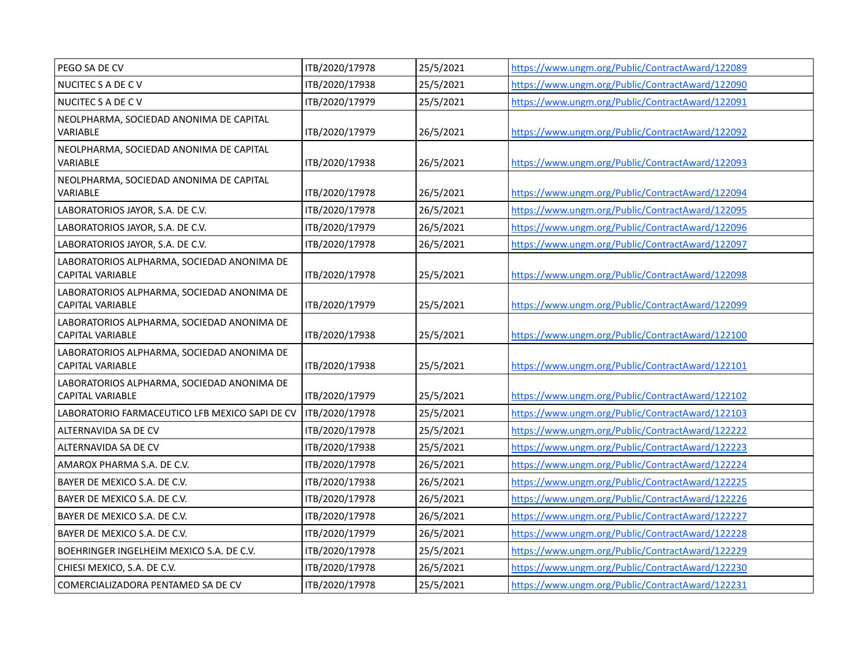| PEGO SA DE CV                                                         | ITB/2020/17978 | 25/5/2021 | https://www.ungm.org/Public/ContractAward/122089 |
|-----------------------------------------------------------------------|----------------|-----------|--------------------------------------------------|
| NUCITEC S A DE C V                                                    | ITB/2020/17938 | 25/5/2021 | https://www.ungm.org/Public/ContractAward/122090 |
| NUCITEC S A DE C V                                                    | ITB/2020/17979 | 25/5/2021 | https://www.ungm.org/Public/ContractAward/122091 |
| NEOLPHARMA, SOCIEDAD ANONIMA DE CAPITAL<br>VARIABLE                   | ITB/2020/17979 | 26/5/2021 | https://www.ungm.org/Public/ContractAward/122092 |
| NEOLPHARMA, SOCIEDAD ANONIMA DE CAPITAL                               |                |           |                                                  |
| VARIABLE                                                              | ITB/2020/17938 | 26/5/2021 | https://www.ungm.org/Public/ContractAward/122093 |
| NEOLPHARMA, SOCIEDAD ANONIMA DE CAPITAL<br>VARIABLE                   | ITB/2020/17978 | 26/5/2021 | https://www.ungm.org/Public/ContractAward/122094 |
| LABORATORIOS JAYOR, S.A. DE C.V.                                      | ITB/2020/17978 | 26/5/2021 | https://www.ungm.org/Public/ContractAward/122095 |
| LABORATORIOS JAYOR, S.A. DE C.V.                                      | ITB/2020/17979 | 26/5/2021 | https://www.ungm.org/Public/ContractAward/122096 |
| LABORATORIOS JAYOR, S.A. DE C.V.                                      | ITB/2020/17978 | 26/5/2021 | https://www.ungm.org/Public/ContractAward/122097 |
| LABORATORIOS ALPHARMA, SOCIEDAD ANONIMA DE<br><b>CAPITAL VARIABLE</b> | ITB/2020/17978 | 25/5/2021 | https://www.ungm.org/Public/ContractAward/122098 |
| LABORATORIOS ALPHARMA, SOCIEDAD ANONIMA DE<br><b>CAPITAL VARIABLE</b> | ITB/2020/17979 | 25/5/2021 | https://www.ungm.org/Public/ContractAward/122099 |
| LABORATORIOS ALPHARMA, SOCIEDAD ANONIMA DE<br><b>CAPITAL VARIABLE</b> | ITB/2020/17938 | 25/5/2021 | https://www.ungm.org/Public/ContractAward/122100 |
| LABORATORIOS ALPHARMA, SOCIEDAD ANONIMA DE<br>CAPITAL VARIABLE        | ITB/2020/17938 | 25/5/2021 | https://www.ungm.org/Public/ContractAward/122101 |
| LABORATORIOS ALPHARMA, SOCIEDAD ANONIMA DE<br><b>CAPITAL VARIABLE</b> | ITB/2020/17979 | 25/5/2021 | https://www.ungm.org/Public/ContractAward/122102 |
| LABORATORIO FARMACEUTICO LFB MEXICO SAPI DE CV                        | ITB/2020/17978 | 25/5/2021 | https://www.ungm.org/Public/ContractAward/122103 |
| ALTERNAVIDA SA DE CV                                                  | ITB/2020/17978 | 25/5/2021 | https://www.ungm.org/Public/ContractAward/122222 |
| ALTERNAVIDA SA DE CV                                                  | ITB/2020/17938 | 25/5/2021 | https://www.ungm.org/Public/ContractAward/122223 |
| AMAROX PHARMA S.A. DE C.V.                                            | ITB/2020/17978 | 26/5/2021 | https://www.ungm.org/Public/ContractAward/122224 |
| BAYER DE MEXICO S.A. DE C.V.                                          | ITB/2020/17938 | 26/5/2021 | https://www.ungm.org/Public/ContractAward/122225 |
| BAYER DE MEXICO S.A. DE C.V.                                          | ITB/2020/17978 | 26/5/2021 | https://www.ungm.org/Public/ContractAward/122226 |
| BAYER DE MEXICO S.A. DE C.V.                                          | ITB/2020/17978 | 26/5/2021 | https://www.ungm.org/Public/ContractAward/122227 |
| BAYER DE MEXICO S.A. DE C.V.                                          | ITB/2020/17979 | 26/5/2021 | https://www.ungm.org/Public/ContractAward/122228 |
| BOEHRINGER INGELHEIM MEXICO S.A. DE C.V.                              | ITB/2020/17978 | 25/5/2021 | https://www.ungm.org/Public/ContractAward/122229 |
| CHIESI MEXICO, S.A. DE C.V.                                           | ITB/2020/17978 | 26/5/2021 | https://www.ungm.org/Public/ContractAward/122230 |
| COMERCIALIZADORA PENTAMED SA DE CV                                    | ITB/2020/17978 | 25/5/2021 | https://www.ungm.org/Public/ContractAward/122231 |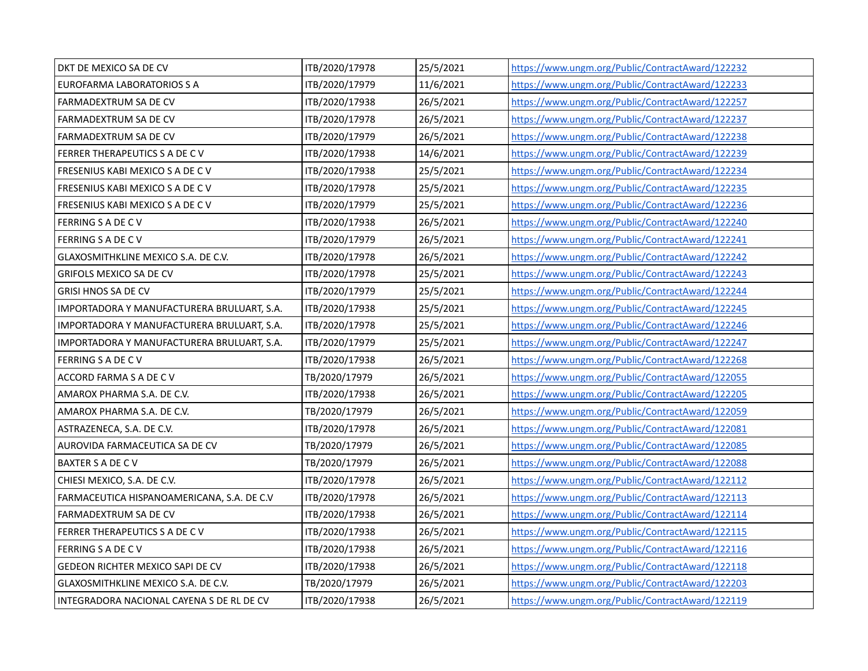| DKT DE MEXICO SA DE CV                     | ITB/2020/17978 | 25/5/2021 | https://www.ungm.org/Public/ContractAward/122232 |
|--------------------------------------------|----------------|-----------|--------------------------------------------------|
| EUROFARMA LABORATORIOS S A                 | ITB/2020/17979 | 11/6/2021 | https://www.ungm.org/Public/ContractAward/122233 |
| FARMADEXTRUM SA DE CV                      | ITB/2020/17938 | 26/5/2021 | https://www.ungm.org/Public/ContractAward/122257 |
| FARMADEXTRUM SA DE CV                      | ITB/2020/17978 | 26/5/2021 | https://www.ungm.org/Public/ContractAward/122237 |
| FARMADEXTRUM SA DE CV                      | ITB/2020/17979 | 26/5/2021 | https://www.ungm.org/Public/ContractAward/122238 |
| FERRER THERAPEUTICS S A DE C V             | ITB/2020/17938 | 14/6/2021 | https://www.ungm.org/Public/ContractAward/122239 |
| FRESENIUS KABI MEXICO S A DE C V           | ITB/2020/17938 | 25/5/2021 | https://www.ungm.org/Public/ContractAward/122234 |
| FRESENIUS KABI MEXICO S A DE C V           | ITB/2020/17978 | 25/5/2021 | https://www.ungm.org/Public/ContractAward/122235 |
| FRESENIUS KABI MEXICO S A DE C V           | ITB/2020/17979 | 25/5/2021 | https://www.ungm.org/Public/ContractAward/122236 |
| FERRING S A DE C V                         | ITB/2020/17938 | 26/5/2021 | https://www.ungm.org/Public/ContractAward/122240 |
| FERRING S A DE C V                         | ITB/2020/17979 | 26/5/2021 | https://www.ungm.org/Public/ContractAward/122241 |
| GLAXOSMITHKLINE MEXICO S.A. DE C.V.        | ITB/2020/17978 | 26/5/2021 | https://www.ungm.org/Public/ContractAward/122242 |
| GRIFOLS MEXICO SA DE CV                    | ITB/2020/17978 | 25/5/2021 | https://www.ungm.org/Public/ContractAward/122243 |
| <b>GRISI HNOS SA DE CV</b>                 | ITB/2020/17979 | 25/5/2021 | https://www.ungm.org/Public/ContractAward/122244 |
| IMPORTADORA Y MANUFACTURERA BRULUART, S.A. | ITB/2020/17938 | 25/5/2021 | https://www.ungm.org/Public/ContractAward/122245 |
| IMPORTADORA Y MANUFACTURERA BRULUART, S.A. | ITB/2020/17978 | 25/5/2021 | https://www.ungm.org/Public/ContractAward/122246 |
| IMPORTADORA Y MANUFACTURERA BRULUART, S.A. | ITB/2020/17979 | 25/5/2021 | https://www.ungm.org/Public/ContractAward/122247 |
| <b>FERRING S A DE C V</b>                  | ITB/2020/17938 | 26/5/2021 | https://www.ungm.org/Public/ContractAward/122268 |
| ACCORD FARMA S A DE C V                    | TB/2020/17979  | 26/5/2021 | https://www.ungm.org/Public/ContractAward/122055 |
| AMAROX PHARMA S.A. DE C.V.                 | ITB/2020/17938 | 26/5/2021 | https://www.ungm.org/Public/ContractAward/122205 |
| AMAROX PHARMA S.A. DE C.V.                 | TB/2020/17979  | 26/5/2021 | https://www.ungm.org/Public/ContractAward/122059 |
| ASTRAZENECA, S.A. DE C.V.                  | ITB/2020/17978 | 26/5/2021 | https://www.ungm.org/Public/ContractAward/122081 |
| AUROVIDA FARMACEUTICA SA DE CV             | TB/2020/17979  | 26/5/2021 | https://www.ungm.org/Public/ContractAward/122085 |
| BAXTER S A DE C V                          | TB/2020/17979  | 26/5/2021 | https://www.ungm.org/Public/ContractAward/122088 |
| CHIESI MEXICO, S.A. DE C.V.                | ITB/2020/17978 | 26/5/2021 | https://www.ungm.org/Public/ContractAward/122112 |
| FARMACEUTICA HISPANOAMERICANA, S.A. DE C.V | ITB/2020/17978 | 26/5/2021 | https://www.ungm.org/Public/ContractAward/122113 |
| FARMADEXTRUM SA DE CV                      | ITB/2020/17938 | 26/5/2021 | https://www.ungm.org/Public/ContractAward/122114 |
| FERRER THERAPEUTICS S A DE C V             | ITB/2020/17938 | 26/5/2021 | https://www.ungm.org/Public/ContractAward/122115 |
| FERRING S A DE C V                         | ITB/2020/17938 | 26/5/2021 | https://www.ungm.org/Public/ContractAward/122116 |
| GEDEON RICHTER MEXICO SAPI DE CV           | ITB/2020/17938 | 26/5/2021 | https://www.ungm.org/Public/ContractAward/122118 |
| GLAXOSMITHKLINE MEXICO S.A. DE C.V.        | TB/2020/17979  | 26/5/2021 | https://www.ungm.org/Public/ContractAward/122203 |
| INTEGRADORA NACIONAL CAYENA S DE RL DE CV  | ITB/2020/17938 | 26/5/2021 | https://www.ungm.org/Public/ContractAward/122119 |